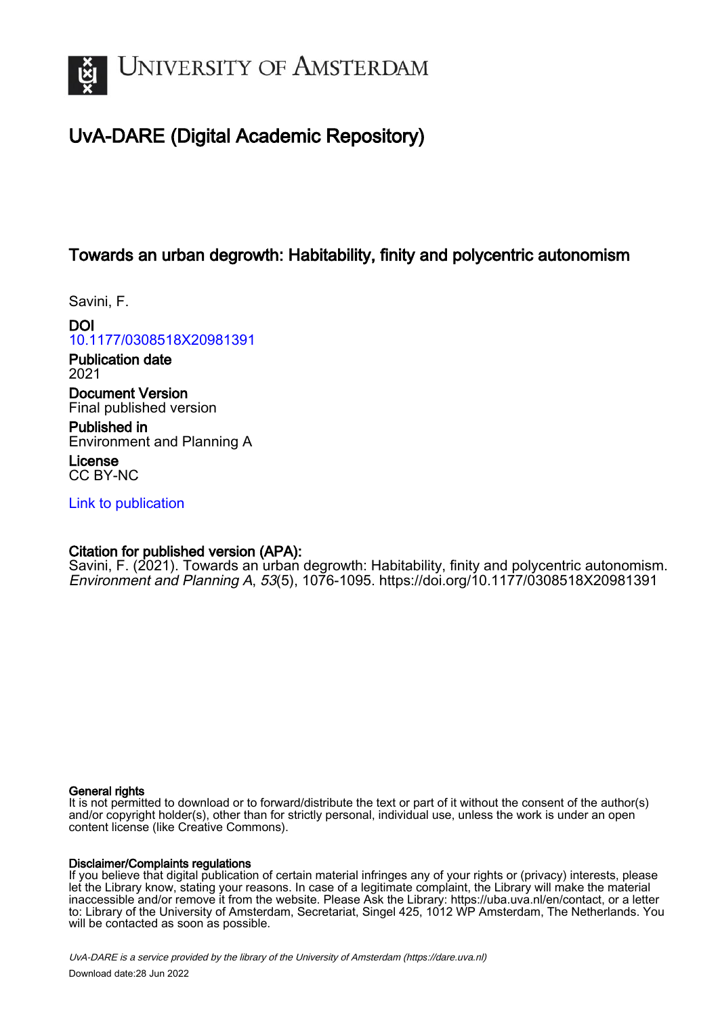

# UvA-DARE (Digital Academic Repository)

# Towards an urban degrowth: Habitability, finity and polycentric autonomism

Savini, F.

DOI [10.1177/0308518X20981391](https://doi.org/10.1177/0308518X20981391)

Publication date 2021

Document Version Final published version

Published in Environment and Planning A

License CC BY-NC

[Link to publication](https://dare.uva.nl/personal/pure/en/publications/towards-an-urban-degrowth-habitability-finity-and-polycentric-autonomism(f2a5f898-f53a-4a3f-a521-05cc54ef5e42).html)

# Citation for published version (APA):

Savini, F. (2021). Towards an urban degrowth: Habitability, finity and polycentric autonomism. Environment and Planning A, 53(5), 1076-1095.<https://doi.org/10.1177/0308518X20981391>

### General rights

It is not permitted to download or to forward/distribute the text or part of it without the consent of the author(s) and/or copyright holder(s), other than for strictly personal, individual use, unless the work is under an open content license (like Creative Commons).

# Disclaimer/Complaints regulations

If you believe that digital publication of certain material infringes any of your rights or (privacy) interests, please let the Library know, stating your reasons. In case of a legitimate complaint, the Library will make the material inaccessible and/or remove it from the website. Please Ask the Library: https://uba.uva.nl/en/contact, or a letter to: Library of the University of Amsterdam, Secretariat, Singel 425, 1012 WP Amsterdam, The Netherlands. You will be contacted as soon as possible.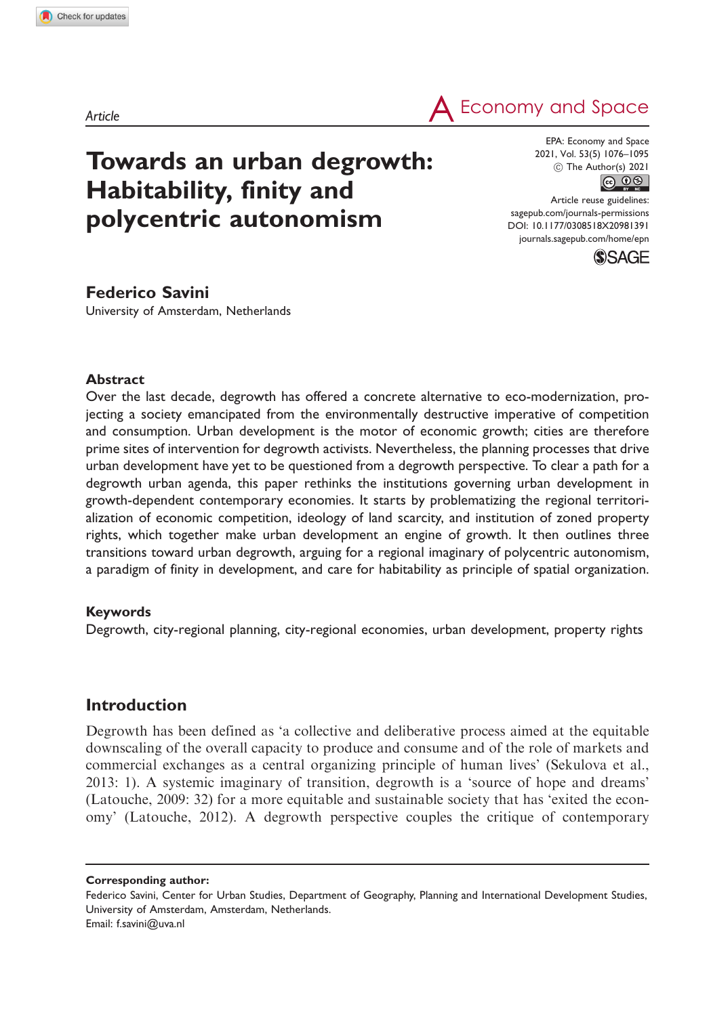$\mathsf{A}\xspace$  Economy and Space

# Towards an urban degrowth: Habitability, finity and polycentric autonomism

EPA: Economy and Space  $\circled{c}$  The Author(s) 2021 2021, Vol. 53(5) 1076–1095

Article reuse guidelines: [sagepub.com/journals-permissions](http://uk.sagepub.com/en-gb/journals-permissions) [DOI: 10.1177/0308518X20981391](http://dx.doi.org/10.1177/0308518X20981391) <journals.sagepub.com/home/epn>



## Federico Savini

University of Amsterdam, Netherlands

#### **Abstract**

Over the last decade, degrowth has offered a concrete alternative to eco-modernization, projecting a society emancipated from the environmentally destructive imperative of competition and consumption. Urban development is the motor of economic growth; cities are therefore prime sites of intervention for degrowth activists. Nevertheless, the planning processes that drive urban development have yet to be questioned from a degrowth perspective. To clear a path for a degrowth urban agenda, this paper rethinks the institutions governing urban development in growth-dependent contemporary economies. It starts by problematizing the regional territorialization of economic competition, ideology of land scarcity, and institution of zoned property rights, which together make urban development an engine of growth. It then outlines three transitions toward urban degrowth, arguing for a regional imaginary of polycentric autonomism, a paradigm of finity in development, and care for habitability as principle of spatial organization.

#### Keywords

Degrowth, city-regional planning, city-regional economies, urban development, property rights

## Introduction

Degrowth has been defined as 'a collective and deliberative process aimed at the equitable downscaling of the overall capacity to produce and consume and of the role of markets and commercial exchanges as a central organizing principle of human lives' (Sekulova et al., 2013: 1). A systemic imaginary of transition, degrowth is a 'source of hope and dreams' (Latouche, 2009: 32) for a more equitable and sustainable society that has 'exited the economy' (Latouche, 2012). A degrowth perspective couples the critique of contemporary

Corresponding author:

Federico Savini, Center for Urban Studies, Department of Geography, Planning and International Development Studies, University of Amsterdam, Amsterdam, Netherlands. Email: [f.savini@uva.nl](mailto:f.savini@uva.nl)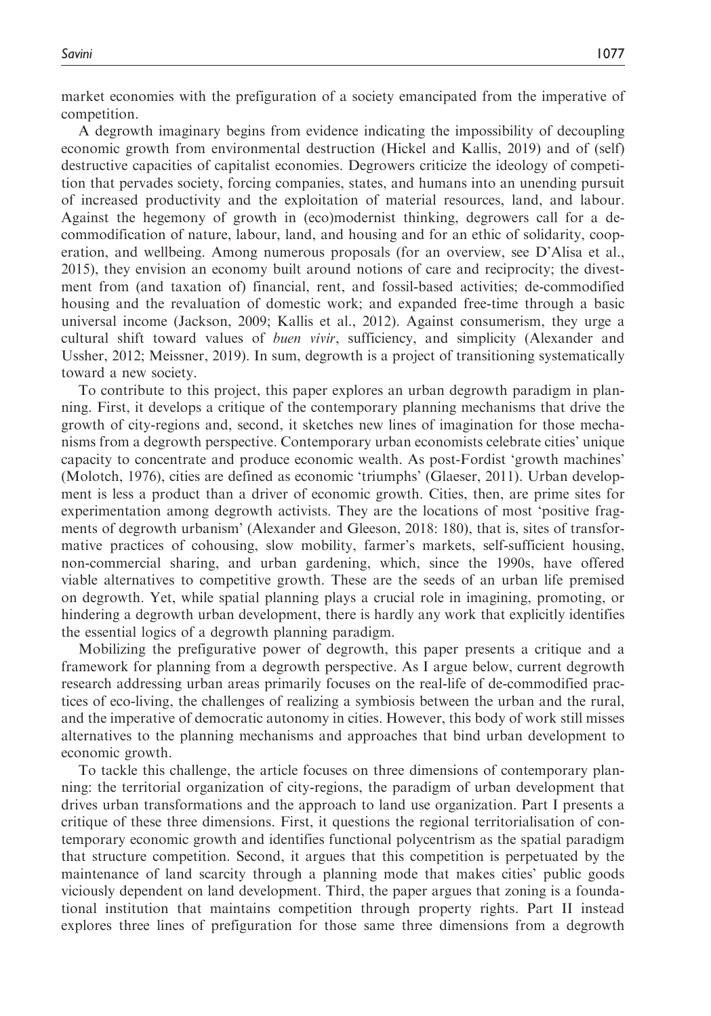market economies with the prefiguration of a society emancipated from the imperative of competition.

A degrowth imaginary begins from evidence indicating the impossibility of decoupling economic growth from environmental destruction (Hickel and Kallis, 2019) and of (self) destructive capacities of capitalist economies. Degrowers criticize the ideology of competition that pervades society, forcing companies, states, and humans into an unending pursuit of increased productivity and the exploitation of material resources, land, and labour. Against the hegemony of growth in (eco)modernist thinking, degrowers call for a decommodification of nature, labour, land, and housing and for an ethic of solidarity, cooperation, and wellbeing. Among numerous proposals (for an overview, see D'Alisa et al., 2015), they envision an economy built around notions of care and reciprocity; the divestment from (and taxation of) financial, rent, and fossil-based activities; de-commodified housing and the revaluation of domestic work; and expanded free-time through a basic universal income (Jackson, 2009; Kallis et al., 2012). Against consumerism, they urge a cultural shift toward values of buen vivir, sufficiency, and simplicity (Alexander and Ussher, 2012; Meissner, 2019). In sum, degrowth is a project of transitioning systematically toward a new society.

To contribute to this project, this paper explores an urban degrowth paradigm in planning. First, it develops a critique of the contemporary planning mechanisms that drive the growth of city-regions and, second, it sketches new lines of imagination for those mechanisms from a degrowth perspective. Contemporary urban economists celebrate cities' unique capacity to concentrate and produce economic wealth. As post-Fordist 'growth machines' (Molotch, 1976), cities are defined as economic 'triumphs' (Glaeser, 2011). Urban development is less a product than a driver of economic growth. Cities, then, are prime sites for experimentation among degrowth activists. They are the locations of most 'positive fragments of degrowth urbanism' (Alexander and Gleeson, 2018: 180), that is, sites of transformative practices of cohousing, slow mobility, farmer's markets, self-sufficient housing, non-commercial sharing, and urban gardening, which, since the 1990s, have offered viable alternatives to competitive growth. These are the seeds of an urban life premised on degrowth. Yet, while spatial planning plays a crucial role in imagining, promoting, or hindering a degrowth urban development, there is hardly any work that explicitly identifies the essential logics of a degrowth planning paradigm.

Mobilizing the prefigurative power of degrowth, this paper presents a critique and a framework for planning from a degrowth perspective. As I argue below, current degrowth research addressing urban areas primarily focuses on the real-life of de-commodified practices of eco-living, the challenges of realizing a symbiosis between the urban and the rural, and the imperative of democratic autonomy in cities. However, this body of work still misses alternatives to the planning mechanisms and approaches that bind urban development to economic growth.

To tackle this challenge, the article focuses on three dimensions of contemporary planning: the territorial organization of city-regions, the paradigm of urban development that drives urban transformations and the approach to land use organization. Part I presents a critique of these three dimensions. First, it questions the regional territorialisation of contemporary economic growth and identifies functional polycentrism as the spatial paradigm that structure competition. Second, it argues that this competition is perpetuated by the maintenance of land scarcity through a planning mode that makes cities' public goods viciously dependent on land development. Third, the paper argues that zoning is a foundational institution that maintains competition through property rights. Part II instead explores three lines of prefiguration for those same three dimensions from a degrowth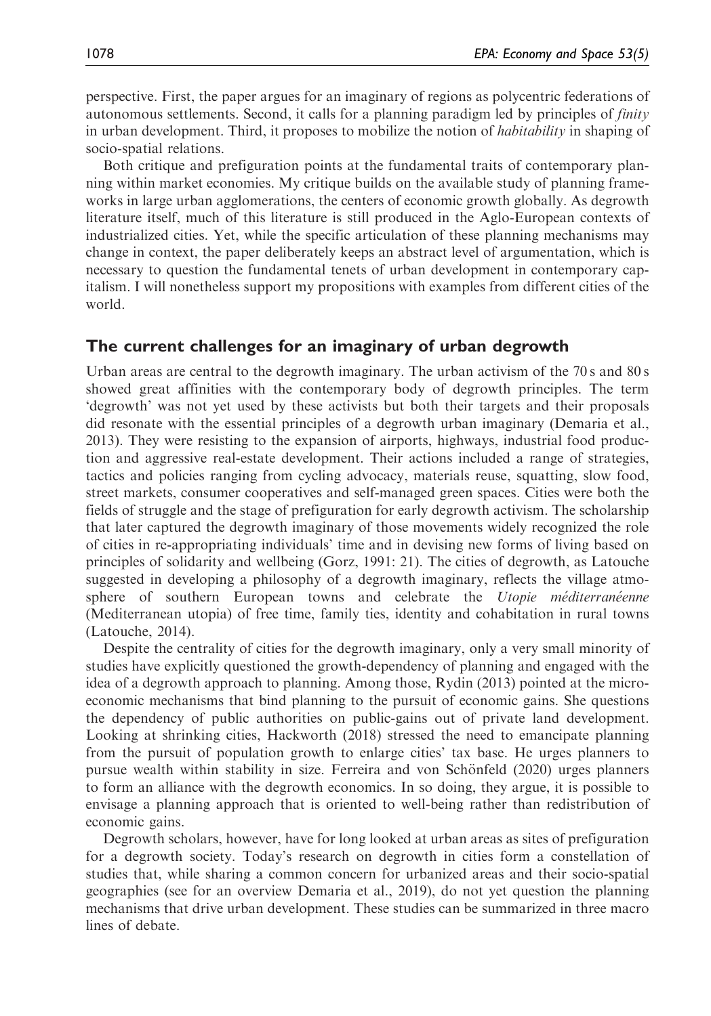perspective. First, the paper argues for an imaginary of regions as polycentric federations of autonomous settlements. Second, it calls for a planning paradigm led by principles of finity in urban development. Third, it proposes to mobilize the notion of *habitability* in shaping of socio-spatial relations.

Both critique and prefiguration points at the fundamental traits of contemporary planning within market economies. My critique builds on the available study of planning frameworks in large urban agglomerations, the centers of economic growth globally. As degrowth literature itself, much of this literature is still produced in the Aglo-European contexts of industrialized cities. Yet, while the specific articulation of these planning mechanisms may change in context, the paper deliberately keeps an abstract level of argumentation, which is necessary to question the fundamental tenets of urban development in contemporary capitalism. I will nonetheless support my propositions with examples from different cities of the world.

## The current challenges for an imaginary of urban degrowth

Urban areas are central to the degrowth imaginary. The urban activism of the 70 s and 80 s showed great affinities with the contemporary body of degrowth principles. The term 'degrowth' was not yet used by these activists but both their targets and their proposals did resonate with the essential principles of a degrowth urban imaginary (Demaria et al., 2013). They were resisting to the expansion of airports, highways, industrial food production and aggressive real-estate development. Their actions included a range of strategies, tactics and policies ranging from cycling advocacy, materials reuse, squatting, slow food, street markets, consumer cooperatives and self-managed green spaces. Cities were both the fields of struggle and the stage of prefiguration for early degrowth activism. The scholarship that later captured the degrowth imaginary of those movements widely recognized the role of cities in re-appropriating individuals' time and in devising new forms of living based on principles of solidarity and wellbeing (Gorz, 1991: 21). The cities of degrowth, as Latouche suggested in developing a philosophy of a degrowth imaginary, reflects the village atmosphere of southern European towns and celebrate the Utopie méditerranéenne (Mediterranean utopia) of free time, family ties, identity and cohabitation in rural towns (Latouche, 2014).

Despite the centrality of cities for the degrowth imaginary, only a very small minority of studies have explicitly questioned the growth-dependency of planning and engaged with the idea of a degrowth approach to planning. Among those, Rydin (2013) pointed at the microeconomic mechanisms that bind planning to the pursuit of economic gains. She questions the dependency of public authorities on public-gains out of private land development. Looking at shrinking cities, Hackworth (2018) stressed the need to emancipate planning from the pursuit of population growth to enlarge cities' tax base. He urges planners to pursue wealth within stability in size. Ferreira and von Schönfeld (2020) urges planners to form an alliance with the degrowth economics. In so doing, they argue, it is possible to envisage a planning approach that is oriented to well-being rather than redistribution of economic gains.

Degrowth scholars, however, have for long looked at urban areas as sites of prefiguration for a degrowth society. Today's research on degrowth in cities form a constellation of studies that, while sharing a common concern for urbanized areas and their socio-spatial geographies (see for an overview Demaria et al., 2019), do not yet question the planning mechanisms that drive urban development. These studies can be summarized in three macro lines of debate.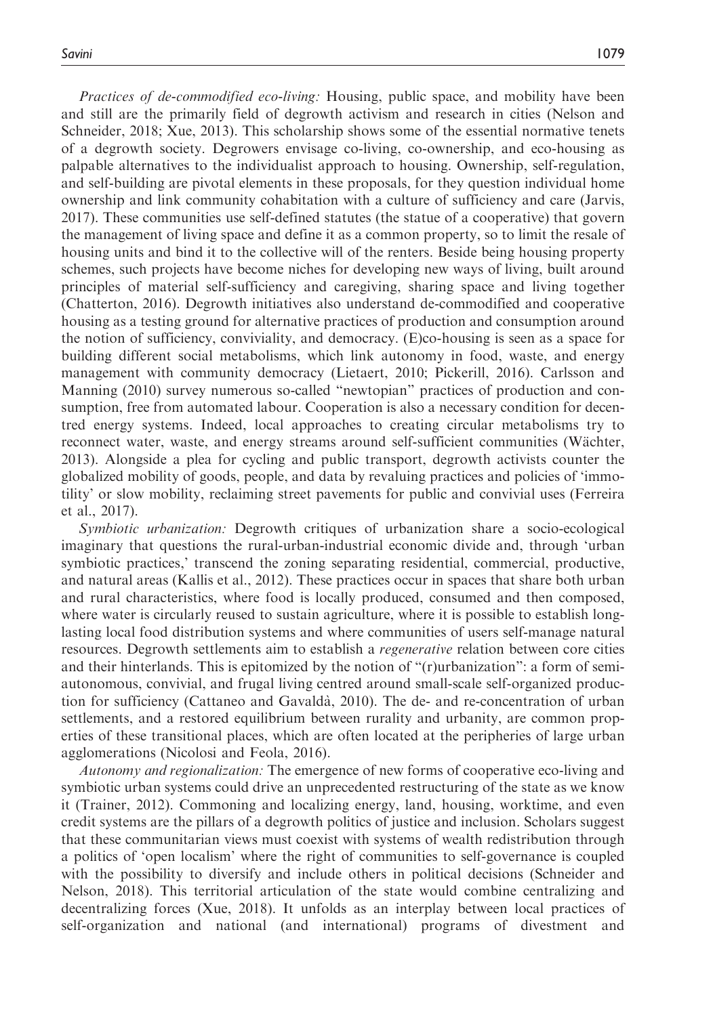Practices of de-commodified eco-living: Housing, public space, and mobility have been and still are the primarily field of degrowth activism and research in cities (Nelson and Schneider, 2018; Xue, 2013). This scholarship shows some of the essential normative tenets of a degrowth society. Degrowers envisage co-living, co-ownership, and eco-housing as palpable alternatives to the individualist approach to housing. Ownership, self-regulation, and self-building are pivotal elements in these proposals, for they question individual home ownership and link community cohabitation with a culture of sufficiency and care (Jarvis, 2017). These communities use self-defined statutes (the statue of a cooperative) that govern the management of living space and define it as a common property, so to limit the resale of housing units and bind it to the collective will of the renters. Beside being housing property schemes, such projects have become niches for developing new ways of living, built around principles of material self-sufficiency and caregiving, sharing space and living together (Chatterton, 2016). Degrowth initiatives also understand de-commodified and cooperative housing as a testing ground for alternative practices of production and consumption around the notion of sufficiency, conviviality, and democracy. (E)co-housing is seen as a space for building different social metabolisms, which link autonomy in food, waste, and energy management with community democracy (Lietaert, 2010; Pickerill, 2016). Carlsson and Manning (2010) survey numerous so-called "newtopian" practices of production and consumption, free from automated labour. Cooperation is also a necessary condition for decentred energy systems. Indeed, local approaches to creating circular metabolisms try to reconnect water, waste, and energy streams around self-sufficient communities (Wächter, 2013). Alongside a plea for cycling and public transport, degrowth activists counter the globalized mobility of goods, people, and data by revaluing practices and policies of 'immotility' or slow mobility, reclaiming street pavements for public and convivial uses (Ferreira et al., 2017).

Symbiotic urbanization: Degrowth critiques of urbanization share a socio-ecological imaginary that questions the rural-urban-industrial economic divide and, through 'urban symbiotic practices,' transcend the zoning separating residential, commercial, productive, and natural areas (Kallis et al., 2012). These practices occur in spaces that share both urban and rural characteristics, where food is locally produced, consumed and then composed, where water is circularly reused to sustain agriculture, where it is possible to establish longlasting local food distribution systems and where communities of users self-manage natural resources. Degrowth settlements aim to establish a *regenerative* relation between core cities and their hinterlands. This is epitomized by the notion of "(r)urbanization": a form of semiautonomous, convivial, and frugal living centred around small-scale self-organized production for sufficiency (Cattaneo and Gavalda`, 2010). The de- and re-concentration of urban settlements, and a restored equilibrium between rurality and urbanity, are common properties of these transitional places, which are often located at the peripheries of large urban agglomerations (Nicolosi and Feola, 2016).

Autonomy and regionalization: The emergence of new forms of cooperative eco-living and symbiotic urban systems could drive an unprecedented restructuring of the state as we know it (Trainer, 2012). Commoning and localizing energy, land, housing, worktime, and even credit systems are the pillars of a degrowth politics of justice and inclusion. Scholars suggest that these communitarian views must coexist with systems of wealth redistribution through a politics of 'open localism' where the right of communities to self-governance is coupled with the possibility to diversify and include others in political decisions (Schneider and Nelson, 2018). This territorial articulation of the state would combine centralizing and decentralizing forces (Xue, 2018). It unfolds as an interplay between local practices of self-organization and national (and international) programs of divestment and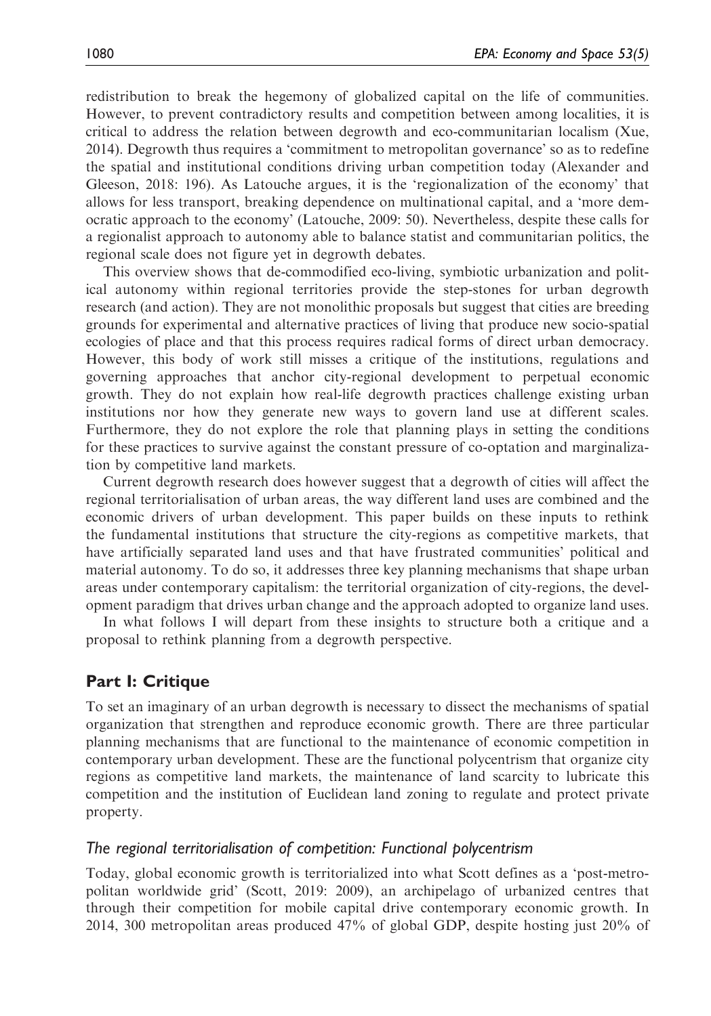redistribution to break the hegemony of globalized capital on the life of communities. However, to prevent contradictory results and competition between among localities, it is critical to address the relation between degrowth and eco-communitarian localism (Xue, 2014). Degrowth thus requires a 'commitment to metropolitan governance' so as to redefine the spatial and institutional conditions driving urban competition today (Alexander and Gleeson, 2018: 196). As Latouche argues, it is the 'regionalization of the economy' that allows for less transport, breaking dependence on multinational capital, and a 'more democratic approach to the economy' (Latouche, 2009: 50). Nevertheless, despite these calls for a regionalist approach to autonomy able to balance statist and communitarian politics, the regional scale does not figure yet in degrowth debates.

This overview shows that de-commodified eco-living, symbiotic urbanization and political autonomy within regional territories provide the step-stones for urban degrowth research (and action). They are not monolithic proposals but suggest that cities are breeding grounds for experimental and alternative practices of living that produce new socio-spatial ecologies of place and that this process requires radical forms of direct urban democracy. However, this body of work still misses a critique of the institutions, regulations and governing approaches that anchor city-regional development to perpetual economic growth. They do not explain how real-life degrowth practices challenge existing urban institutions nor how they generate new ways to govern land use at different scales. Furthermore, they do not explore the role that planning plays in setting the conditions for these practices to survive against the constant pressure of co-optation and marginalization by competitive land markets.

Current degrowth research does however suggest that a degrowth of cities will affect the regional territorialisation of urban areas, the way different land uses are combined and the economic drivers of urban development. This paper builds on these inputs to rethink the fundamental institutions that structure the city-regions as competitive markets, that have artificially separated land uses and that have frustrated communities' political and material autonomy. To do so, it addresses three key planning mechanisms that shape urban areas under contemporary capitalism: the territorial organization of city-regions, the development paradigm that drives urban change and the approach adopted to organize land uses.

In what follows I will depart from these insights to structure both a critique and a proposal to rethink planning from a degrowth perspective.

# Part I: Critique

To set an imaginary of an urban degrowth is necessary to dissect the mechanisms of spatial organization that strengthen and reproduce economic growth. There are three particular planning mechanisms that are functional to the maintenance of economic competition in contemporary urban development. These are the functional polycentrism that organize city regions as competitive land markets, the maintenance of land scarcity to lubricate this competition and the institution of Euclidean land zoning to regulate and protect private property.

#### The regional territorialisation of competition: Functional polycentrism

Today, global economic growth is territorialized into what Scott defines as a 'post-metropolitan worldwide grid' (Scott, 2019: 2009), an archipelago of urbanized centres that through their competition for mobile capital drive contemporary economic growth. In 2014, 300 metropolitan areas produced 47% of global GDP, despite hosting just 20% of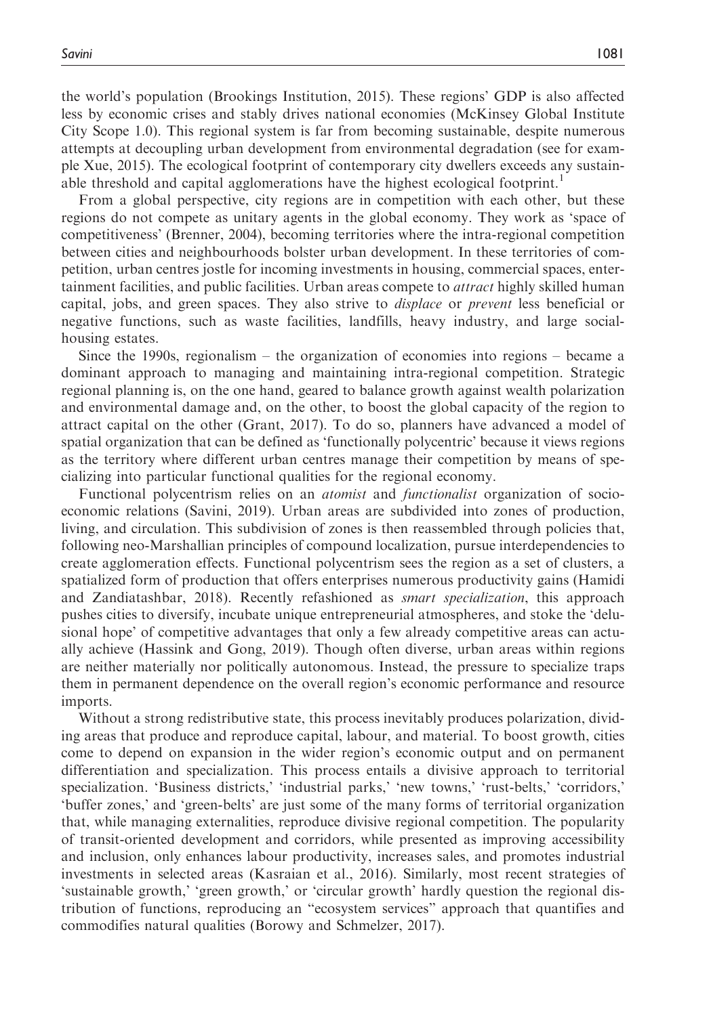the world's population (Brookings Institution, 2015). These regions' GDP is also affected less by economic crises and stably drives national economies (McKinsey Global Institute City Scope 1.0). This regional system is far from becoming sustainable, despite numerous attempts at decoupling urban development from environmental degradation (see for example Xue, 2015). The ecological footprint of contemporary city dwellers exceeds any sustainable threshold and capital agglomerations have the highest ecological footprint.<sup>1</sup>

From a global perspective, city regions are in competition with each other, but these regions do not compete as unitary agents in the global economy. They work as 'space of competitiveness' (Brenner, 2004), becoming territories where the intra-regional competition between cities and neighbourhoods bolster urban development. In these territories of competition, urban centres jostle for incoming investments in housing, commercial spaces, entertainment facilities, and public facilities. Urban areas compete to *attract* highly skilled human capital, jobs, and green spaces. They also strive to displace or prevent less beneficial or negative functions, such as waste facilities, landfills, heavy industry, and large socialhousing estates.

Since the 1990s, regionalism – the organization of economies into regions – became a dominant approach to managing and maintaining intra-regional competition. Strategic regional planning is, on the one hand, geared to balance growth against wealth polarization and environmental damage and, on the other, to boost the global capacity of the region to attract capital on the other (Grant, 2017). To do so, planners have advanced a model of spatial organization that can be defined as 'functionally polycentric' because it views regions as the territory where different urban centres manage their competition by means of specializing into particular functional qualities for the regional economy.

Functional polycentrism relies on an atomist and functionalist organization of socioeconomic relations (Savini, 2019). Urban areas are subdivided into zones of production, living, and circulation. This subdivision of zones is then reassembled through policies that, following neo-Marshallian principles of compound localization, pursue interdependencies to create agglomeration effects. Functional polycentrism sees the region as a set of clusters, a spatialized form of production that offers enterprises numerous productivity gains (Hamidi and Zandiatashbar, 2018). Recently refashioned as *smart specialization*, this approach pushes cities to diversify, incubate unique entrepreneurial atmospheres, and stoke the 'delusional hope' of competitive advantages that only a few already competitive areas can actually achieve (Hassink and Gong, 2019). Though often diverse, urban areas within regions are neither materially nor politically autonomous. Instead, the pressure to specialize traps them in permanent dependence on the overall region's economic performance and resource imports.

Without a strong redistributive state, this process inevitably produces polarization, dividing areas that produce and reproduce capital, labour, and material. To boost growth, cities come to depend on expansion in the wider region's economic output and on permanent differentiation and specialization. This process entails a divisive approach to territorial specialization. 'Business districts,' 'industrial parks,' 'new towns,' 'rust-belts,' 'corridors,' 'buffer zones,' and 'green-belts' are just some of the many forms of territorial organization that, while managing externalities, reproduce divisive regional competition. The popularity of transit-oriented development and corridors, while presented as improving accessibility and inclusion, only enhances labour productivity, increases sales, and promotes industrial investments in selected areas (Kasraian et al., 2016). Similarly, most recent strategies of 'sustainable growth,' 'green growth,' or 'circular growth' hardly question the regional distribution of functions, reproducing an "ecosystem services" approach that quantifies and commodifies natural qualities (Borowy and Schmelzer, 2017).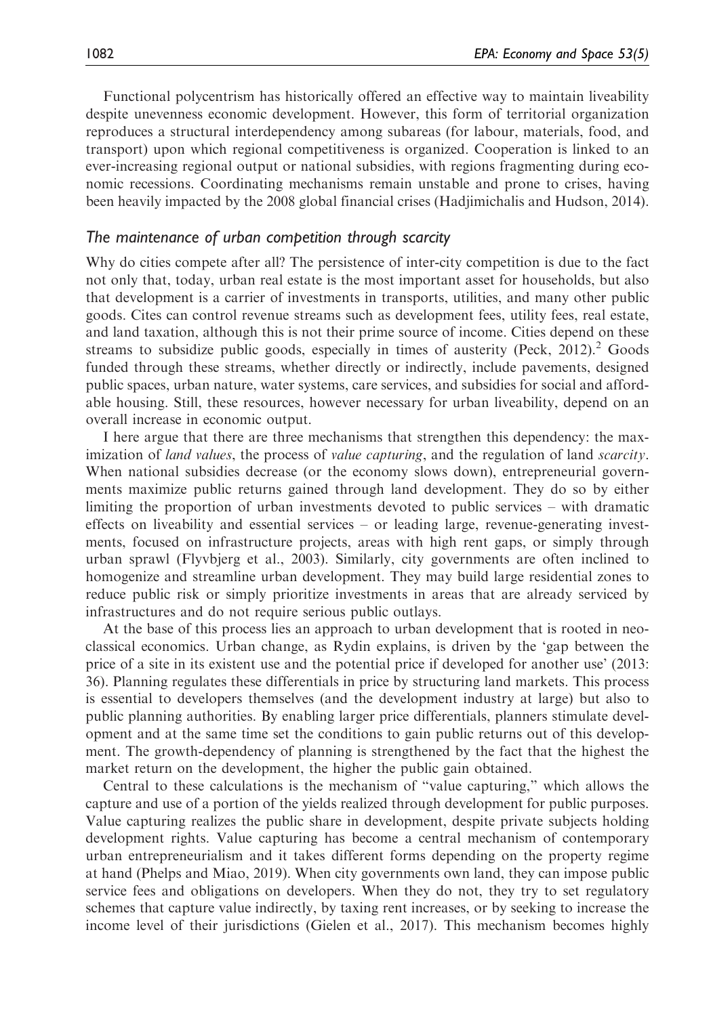Functional polycentrism has historically offered an effective way to maintain liveability despite unevenness economic development. However, this form of territorial organization reproduces a structural interdependency among subareas (for labour, materials, food, and transport) upon which regional competitiveness is organized. Cooperation is linked to an ever-increasing regional output or national subsidies, with regions fragmenting during economic recessions. Coordinating mechanisms remain unstable and prone to crises, having been heavily impacted by the 2008 global financial crises (Hadjimichalis and Hudson, 2014).

#### The maintenance of urban competition through scarcity

Why do cities compete after all? The persistence of inter-city competition is due to the fact not only that, today, urban real estate is the most important asset for households, but also that development is a carrier of investments in transports, utilities, and many other public goods. Cites can control revenue streams such as development fees, utility fees, real estate, and land taxation, although this is not their prime source of income. Cities depend on these streams to subsidize public goods, especially in times of austerity (Peck,  $2012$ ).<sup>2</sup> Goods funded through these streams, whether directly or indirectly, include pavements, designed public spaces, urban nature, water systems, care services, and subsidies for social and affordable housing. Still, these resources, however necessary for urban liveability, depend on an overall increase in economic output.

I here argue that there are three mechanisms that strengthen this dependency: the maximization of *land values*, the process of *value capturing*, and the regulation of land *scarcity*. When national subsidies decrease (or the economy slows down), entrepreneurial governments maximize public returns gained through land development. They do so by either limiting the proportion of urban investments devoted to public services – with dramatic effects on liveability and essential services – or leading large, revenue-generating investments, focused on infrastructure projects, areas with high rent gaps, or simply through urban sprawl (Flyvbjerg et al., 2003). Similarly, city governments are often inclined to homogenize and streamline urban development. They may build large residential zones to reduce public risk or simply prioritize investments in areas that are already serviced by infrastructures and do not require serious public outlays.

At the base of this process lies an approach to urban development that is rooted in neoclassical economics. Urban change, as Rydin explains, is driven by the 'gap between the price of a site in its existent use and the potential price if developed for another use' (2013: 36). Planning regulates these differentials in price by structuring land markets. This process is essential to developers themselves (and the development industry at large) but also to public planning authorities. By enabling larger price differentials, planners stimulate development and at the same time set the conditions to gain public returns out of this development. The growth-dependency of planning is strengthened by the fact that the highest the market return on the development, the higher the public gain obtained.

Central to these calculations is the mechanism of "value capturing," which allows the capture and use of a portion of the yields realized through development for public purposes. Value capturing realizes the public share in development, despite private subjects holding development rights. Value capturing has become a central mechanism of contemporary urban entrepreneurialism and it takes different forms depending on the property regime at hand (Phelps and Miao, 2019). When city governments own land, they can impose public service fees and obligations on developers. When they do not, they try to set regulatory schemes that capture value indirectly, by taxing rent increases, or by seeking to increase the income level of their jurisdictions (Gielen et al., 2017). This mechanism becomes highly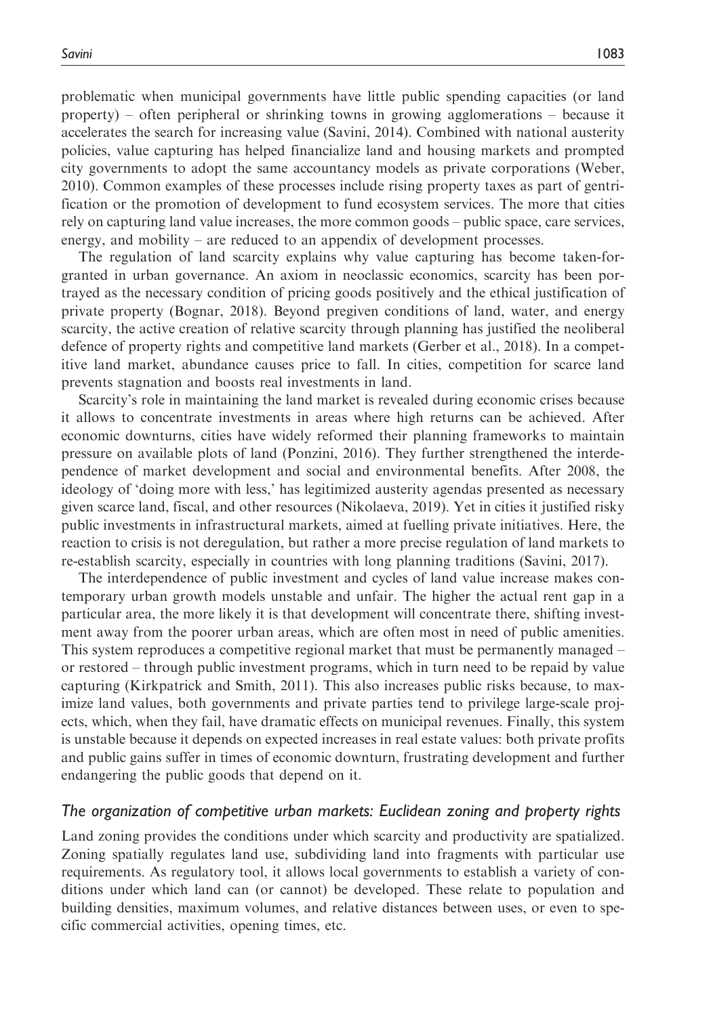problematic when municipal governments have little public spending capacities (or land property) – often peripheral or shrinking towns in growing agglomerations – because it accelerates the search for increasing value (Savini, 2014). Combined with national austerity policies, value capturing has helped financialize land and housing markets and prompted city governments to adopt the same accountancy models as private corporations (Weber, 2010). Common examples of these processes include rising property taxes as part of gentrification or the promotion of development to fund ecosystem services. The more that cities rely on capturing land value increases, the more common goods – public space, care services, energy, and mobility – are reduced to an appendix of development processes.

The regulation of land scarcity explains why value capturing has become taken-forgranted in urban governance. An axiom in neoclassic economics, scarcity has been portrayed as the necessary condition of pricing goods positively and the ethical justification of private property (Bognar, 2018). Beyond pregiven conditions of land, water, and energy scarcity, the active creation of relative scarcity through planning has justified the neoliberal defence of property rights and competitive land markets (Gerber et al., 2018). In a competitive land market, abundance causes price to fall. In cities, competition for scarce land prevents stagnation and boosts real investments in land.

Scarcity's role in maintaining the land market is revealed during economic crises because it allows to concentrate investments in areas where high returns can be achieved. After economic downturns, cities have widely reformed their planning frameworks to maintain pressure on available plots of land (Ponzini, 2016). They further strengthened the interdependence of market development and social and environmental benefits. After 2008, the ideology of 'doing more with less,' has legitimized austerity agendas presented as necessary given scarce land, fiscal, and other resources (Nikolaeva, 2019). Yet in cities it justified risky public investments in infrastructural markets, aimed at fuelling private initiatives. Here, the reaction to crisis is not deregulation, but rather a more precise regulation of land markets to re-establish scarcity, especially in countries with long planning traditions (Savini, 2017).

The interdependence of public investment and cycles of land value increase makes contemporary urban growth models unstable and unfair. The higher the actual rent gap in a particular area, the more likely it is that development will concentrate there, shifting investment away from the poorer urban areas, which are often most in need of public amenities. This system reproduces a competitive regional market that must be permanently managed – or restored – through public investment programs, which in turn need to be repaid by value capturing (Kirkpatrick and Smith, 2011). This also increases public risks because, to maximize land values, both governments and private parties tend to privilege large-scale projects, which, when they fail, have dramatic effects on municipal revenues. Finally, this system is unstable because it depends on expected increases in real estate values: both private profits and public gains suffer in times of economic downturn, frustrating development and further endangering the public goods that depend on it.

#### The organization of competitive urban markets: Euclidean zoning and property rights

Land zoning provides the conditions under which scarcity and productivity are spatialized. Zoning spatially regulates land use, subdividing land into fragments with particular use requirements. As regulatory tool, it allows local governments to establish a variety of conditions under which land can (or cannot) be developed. These relate to population and building densities, maximum volumes, and relative distances between uses, or even to specific commercial activities, opening times, etc.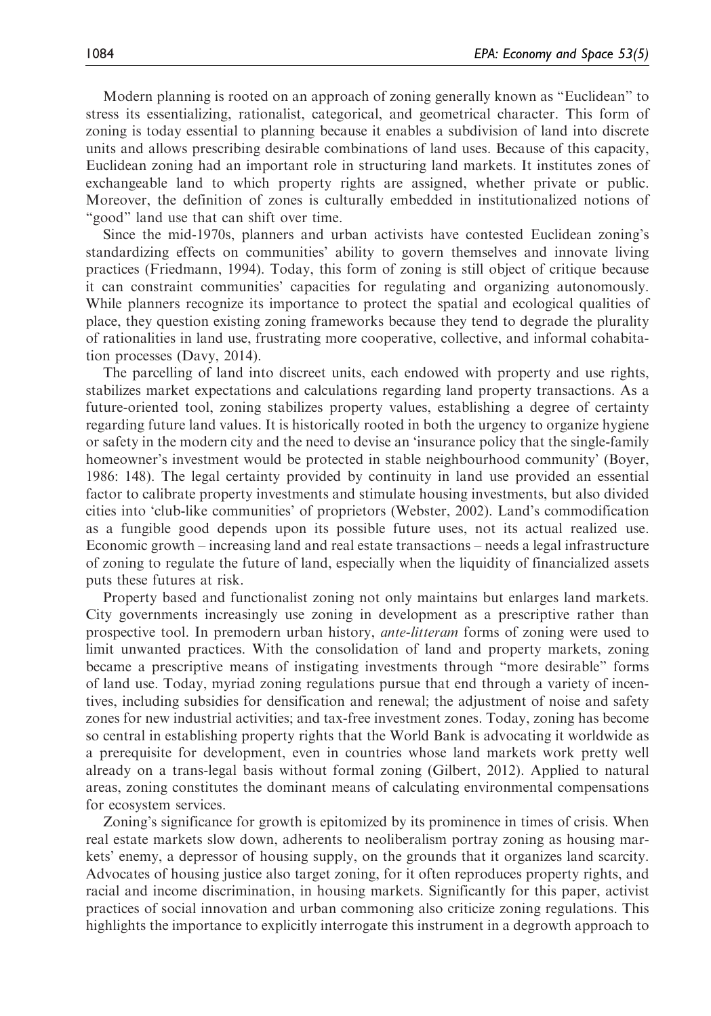Modern planning is rooted on an approach of zoning generally known as "Euclidean" to stress its essentializing, rationalist, categorical, and geometrical character. This form of zoning is today essential to planning because it enables a subdivision of land into discrete units and allows prescribing desirable combinations of land uses. Because of this capacity, Euclidean zoning had an important role in structuring land markets. It institutes zones of exchangeable land to which property rights are assigned, whether private or public. Moreover, the definition of zones is culturally embedded in institutionalized notions of "good" land use that can shift over time.

Since the mid-1970s, planners and urban activists have contested Euclidean zoning's standardizing effects on communities' ability to govern themselves and innovate living practices (Friedmann, 1994). Today, this form of zoning is still object of critique because it can constraint communities' capacities for regulating and organizing autonomously. While planners recognize its importance to protect the spatial and ecological qualities of place, they question existing zoning frameworks because they tend to degrade the plurality of rationalities in land use, frustrating more cooperative, collective, and informal cohabitation processes (Davy, 2014).

The parcelling of land into discreet units, each endowed with property and use rights, stabilizes market expectations and calculations regarding land property transactions. As a future-oriented tool, zoning stabilizes property values, establishing a degree of certainty regarding future land values. It is historically rooted in both the urgency to organize hygiene or safety in the modern city and the need to devise an 'insurance policy that the single-family homeowner's investment would be protected in stable neighbourhood community' (Boyer, 1986: 148). The legal certainty provided by continuity in land use provided an essential factor to calibrate property investments and stimulate housing investments, but also divided cities into 'club-like communities' of proprietors (Webster, 2002). Land's commodification as a fungible good depends upon its possible future uses, not its actual realized use. Economic growth – increasing land and real estate transactions – needs a legal infrastructure of zoning to regulate the future of land, especially when the liquidity of financialized assets puts these futures at risk.

Property based and functionalist zoning not only maintains but enlarges land markets. City governments increasingly use zoning in development as a prescriptive rather than prospective tool. In premodern urban history, *ante-litteram* forms of zoning were used to limit unwanted practices. With the consolidation of land and property markets, zoning became a prescriptive means of instigating investments through "more desirable" forms of land use. Today, myriad zoning regulations pursue that end through a variety of incentives, including subsidies for densification and renewal; the adjustment of noise and safety zones for new industrial activities; and tax-free investment zones. Today, zoning has become so central in establishing property rights that the World Bank is advocating it worldwide as a prerequisite for development, even in countries whose land markets work pretty well already on a trans-legal basis without formal zoning (Gilbert, 2012). Applied to natural areas, zoning constitutes the dominant means of calculating environmental compensations for ecosystem services.

Zoning's significance for growth is epitomized by its prominence in times of crisis. When real estate markets slow down, adherents to neoliberalism portray zoning as housing markets' enemy, a depressor of housing supply, on the grounds that it organizes land scarcity. Advocates of housing justice also target zoning, for it often reproduces property rights, and racial and income discrimination, in housing markets. Significantly for this paper, activist practices of social innovation and urban commoning also criticize zoning regulations. This highlights the importance to explicitly interrogate this instrument in a degrowth approach to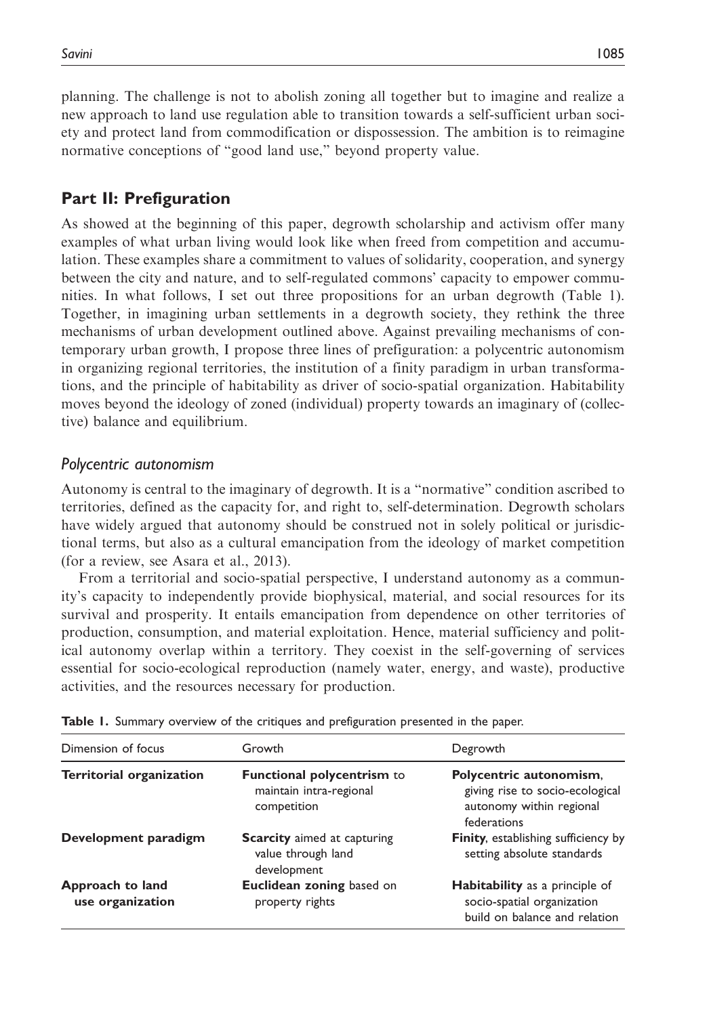planning. The challenge is not to abolish zoning all together but to imagine and realize a new approach to land use regulation able to transition towards a self-sufficient urban society and protect land from commodification or dispossession. The ambition is to reimagine normative conceptions of "good land use," beyond property value.

# Part II: Prefiguration

As showed at the beginning of this paper, degrowth scholarship and activism offer many examples of what urban living would look like when freed from competition and accumulation. These examples share a commitment to values of solidarity, cooperation, and synergy between the city and nature, and to self-regulated commons' capacity to empower communities. In what follows, I set out three propositions for an urban degrowth (Table 1). Together, in imagining urban settlements in a degrowth society, they rethink the three mechanisms of urban development outlined above. Against prevailing mechanisms of contemporary urban growth, I propose three lines of prefiguration: a polycentric autonomism in organizing regional territories, the institution of a finity paradigm in urban transformations, and the principle of habitability as driver of socio-spatial organization. Habitability moves beyond the ideology of zoned (individual) property towards an imaginary of (collective) balance and equilibrium.

# Polycentric autonomism

Autonomy is central to the imaginary of degrowth. It is a "normative" condition ascribed to territories, defined as the capacity for, and right to, self-determination. Degrowth scholars have widely argued that autonomy should be construed not in solely political or jurisdictional terms, but also as a cultural emancipation from the ideology of market competition (for a review, see Asara et al., 2013).

From a territorial and socio-spatial perspective, I understand autonomy as a community's capacity to independently provide biophysical, material, and social resources for its survival and prosperity. It entails emancipation from dependence on other territories of production, consumption, and material exploitation. Hence, material sufficiency and political autonomy overlap within a territory. They coexist in the self-governing of services essential for socio-ecological reproduction (namely water, energy, and waste), productive activities, and the resources necessary for production.

| Dimension of focus                   | Growth                                                                  | Degrowth                                                                                              |  |  |  |
|--------------------------------------|-------------------------------------------------------------------------|-------------------------------------------------------------------------------------------------------|--|--|--|
| Territorial organization             | Functional polycentrism to<br>maintain intra-regional<br>competition    | Polycentric autonomism,<br>giving rise to socio-ecological<br>autonomy within regional<br>federations |  |  |  |
| Development paradigm                 | <b>Scarcity</b> aimed at capturing<br>value through land<br>development | <b>Finity, establishing sufficiency by</b><br>setting absolute standards                              |  |  |  |
| Approach to land<br>use organization | Euclidean zoning based on<br>property rights                            | <b>Habitability</b> as a principle of<br>socio-spatial organization<br>build on balance and relation  |  |  |  |

|  |  |  |  |  |  |  | Table 1. Summary overview of the critiques and prefiguration presented in the paper. |  |  |  |  |
|--|--|--|--|--|--|--|--------------------------------------------------------------------------------------|--|--|--|--|
|--|--|--|--|--|--|--|--------------------------------------------------------------------------------------|--|--|--|--|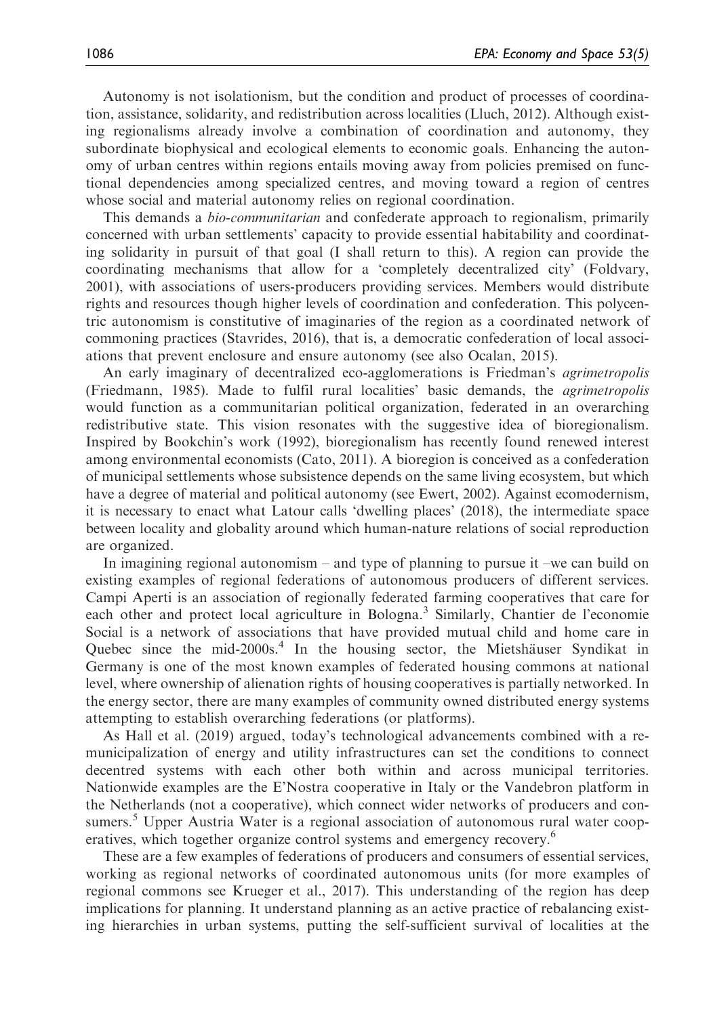Autonomy is not isolationism, but the condition and product of processes of coordination, assistance, solidarity, and redistribution across localities (Lluch, 2012). Although existing regionalisms already involve a combination of coordination and autonomy, they subordinate biophysical and ecological elements to economic goals. Enhancing the autonomy of urban centres within regions entails moving away from policies premised on functional dependencies among specialized centres, and moving toward a region of centres whose social and material autonomy relies on regional coordination.

This demands a bio-communitarian and confederate approach to regionalism, primarily concerned with urban settlements' capacity to provide essential habitability and coordinating solidarity in pursuit of that goal (I shall return to this). A region can provide the coordinating mechanisms that allow for a 'completely decentralized city' (Foldvary, 2001), with associations of users-producers providing services. Members would distribute rights and resources though higher levels of coordination and confederation. This polycentric autonomism is constitutive of imaginaries of the region as a coordinated network of commoning practices (Stavrides, 2016), that is, a democratic confederation of local associations that prevent enclosure and ensure autonomy (see also Ocalan, 2015).

An early imaginary of decentralized eco-agglomerations is Friedman's agrimetropolis (Friedmann, 1985). Made to fulfil rural localities' basic demands, the agrimetropolis would function as a communitarian political organization, federated in an overarching redistributive state. This vision resonates with the suggestive idea of bioregionalism. Inspired by Bookchin's work (1992), bioregionalism has recently found renewed interest among environmental economists (Cato, 2011). A bioregion is conceived as a confederation of municipal settlements whose subsistence depends on the same living ecosystem, but which have a degree of material and political autonomy (see Ewert, 2002). Against ecomodernism, it is necessary to enact what Latour calls 'dwelling places' (2018), the intermediate space between locality and globality around which human-nature relations of social reproduction are organized.

In imagining regional autonomism – and type of planning to pursue it –we can build on existing examples of regional federations of autonomous producers of different services. Campi Aperti is an association of regionally federated farming cooperatives that care for each other and protect local agriculture in Bologna.<sup>3</sup> Similarly, Chantier de l'economie Social is a network of associations that have provided mutual child and home care in Quebec since the mid-2000s.<sup>4</sup> In the housing sector, the Mietshäuser Syndikat in Germany is one of the most known examples of federated housing commons at national level, where ownership of alienation rights of housing cooperatives is partially networked. In the energy sector, there are many examples of community owned distributed energy systems attempting to establish overarching federations (or platforms).

As Hall et al. (2019) argued, today's technological advancements combined with a remunicipalization of energy and utility infrastructures can set the conditions to connect decentred systems with each other both within and across municipal territories. Nationwide examples are the E'Nostra cooperative in Italy or the Vandebron platform in the Netherlands (not a cooperative), which connect wider networks of producers and consumers.<sup>5</sup> Upper Austria Water is a regional association of autonomous rural water cooperatives, which together organize control systems and emergency recovery.<sup>6</sup>

These are a few examples of federations of producers and consumers of essential services, working as regional networks of coordinated autonomous units (for more examples of regional commons see Krueger et al., 2017). This understanding of the region has deep implications for planning. It understand planning as an active practice of rebalancing existing hierarchies in urban systems, putting the self-sufficient survival of localities at the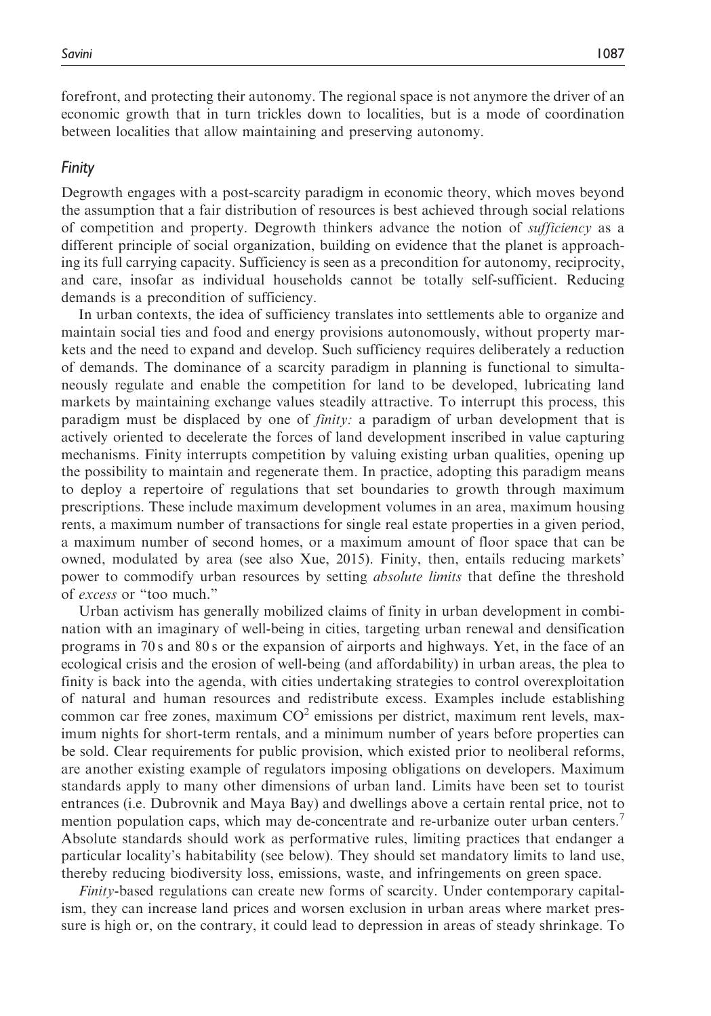forefront, and protecting their autonomy. The regional space is not anymore the driver of an economic growth that in turn trickles down to localities, but is a mode of coordination between localities that allow maintaining and preserving autonomy.

#### Finity

Degrowth engages with a post-scarcity paradigm in economic theory, which moves beyond the assumption that a fair distribution of resources is best achieved through social relations of competition and property. Degrowth thinkers advance the notion of *sufficiency* as a different principle of social organization, building on evidence that the planet is approaching its full carrying capacity. Sufficiency is seen as a precondition for autonomy, reciprocity, and care, insofar as individual households cannot be totally self-sufficient. Reducing demands is a precondition of sufficiency.

In urban contexts, the idea of sufficiency translates into settlements able to organize and maintain social ties and food and energy provisions autonomously, without property markets and the need to expand and develop. Such sufficiency requires deliberately a reduction of demands. The dominance of a scarcity paradigm in planning is functional to simultaneously regulate and enable the competition for land to be developed, lubricating land markets by maintaining exchange values steadily attractive. To interrupt this process, this paradigm must be displaced by one of finity: a paradigm of urban development that is actively oriented to decelerate the forces of land development inscribed in value capturing mechanisms. Finity interrupts competition by valuing existing urban qualities, opening up the possibility to maintain and regenerate them. In practice, adopting this paradigm means to deploy a repertoire of regulations that set boundaries to growth through maximum prescriptions. These include maximum development volumes in an area, maximum housing rents, a maximum number of transactions for single real estate properties in a given period, a maximum number of second homes, or a maximum amount of floor space that can be owned, modulated by area (see also Xue, 2015). Finity, then, entails reducing markets' power to commodify urban resources by setting *absolute limits* that define the threshold of excess or "too much."

Urban activism has generally mobilized claims of finity in urban development in combination with an imaginary of well-being in cities, targeting urban renewal and densification programs in 70 s and 80 s or the expansion of airports and highways. Yet, in the face of an ecological crisis and the erosion of well-being (and affordability) in urban areas, the plea to finity is back into the agenda, with cities undertaking strategies to control overexploitation of natural and human resources and redistribute excess. Examples include establishing common car free zones, maximum  $CO<sup>2</sup>$  emissions per district, maximum rent levels, maximum nights for short-term rentals, and a minimum number of years before properties can be sold. Clear requirements for public provision, which existed prior to neoliberal reforms, are another existing example of regulators imposing obligations on developers. Maximum standards apply to many other dimensions of urban land. Limits have been set to tourist entrances (i.e. Dubrovnik and Maya Bay) and dwellings above a certain rental price, not to mention population caps, which may de-concentrate and re-urbanize outer urban centers.<sup>7</sup> Absolute standards should work as performative rules, limiting practices that endanger a particular locality's habitability (see below). They should set mandatory limits to land use, thereby reducing biodiversity loss, emissions, waste, and infringements on green space.

Finity-based regulations can create new forms of scarcity. Under contemporary capitalism, they can increase land prices and worsen exclusion in urban areas where market pressure is high or, on the contrary, it could lead to depression in areas of steady shrinkage. To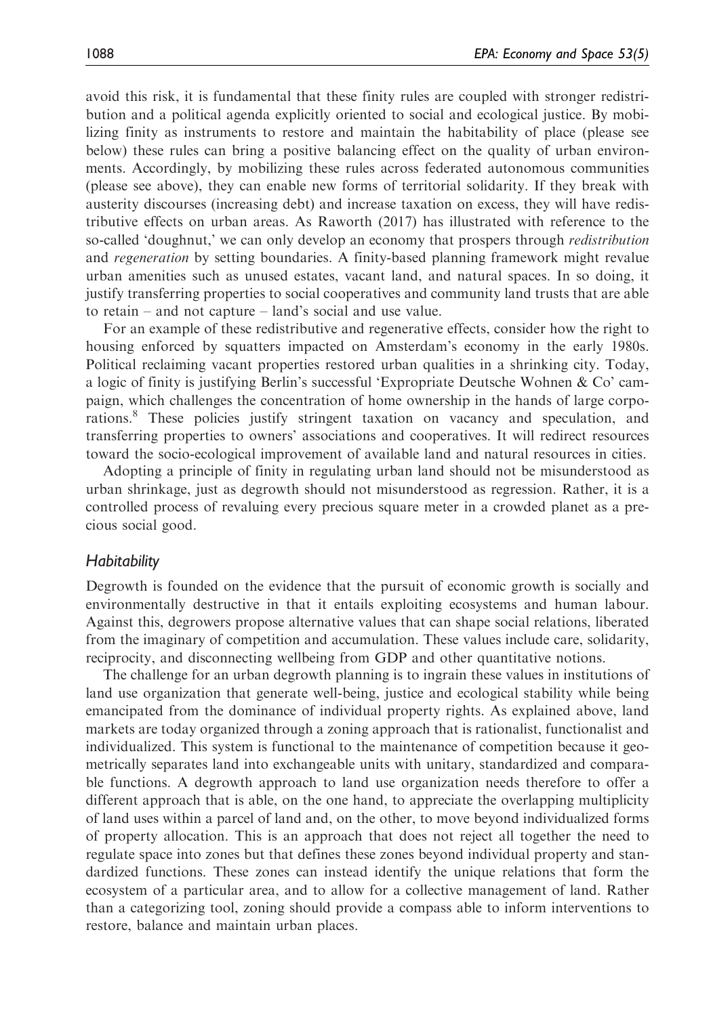avoid this risk, it is fundamental that these finity rules are coupled with stronger redistribution and a political agenda explicitly oriented to social and ecological justice. By mobilizing finity as instruments to restore and maintain the habitability of place (please see below) these rules can bring a positive balancing effect on the quality of urban environments. Accordingly, by mobilizing these rules across federated autonomous communities (please see above), they can enable new forms of territorial solidarity. If they break with austerity discourses (increasing debt) and increase taxation on excess, they will have redistributive effects on urban areas. As Raworth (2017) has illustrated with reference to the so-called 'doughnut,' we can only develop an economy that prospers through *redistribution* and regeneration by setting boundaries. A finity-based planning framework might revalue urban amenities such as unused estates, vacant land, and natural spaces. In so doing, it justify transferring properties to social cooperatives and community land trusts that are able to retain – and not capture – land's social and use value.

For an example of these redistributive and regenerative effects, consider how the right to housing enforced by squatters impacted on Amsterdam's economy in the early 1980s. Political reclaiming vacant properties restored urban qualities in a shrinking city. Today, a logic of finity is justifying Berlin's successful 'Expropriate Deutsche Wohnen & Co' campaign, which challenges the concentration of home ownership in the hands of large corporations.<sup>8</sup> These policies justify stringent taxation on vacancy and speculation, and transferring properties to owners' associations and cooperatives. It will redirect resources toward the socio-ecological improvement of available land and natural resources in cities.

Adopting a principle of finity in regulating urban land should not be misunderstood as urban shrinkage, just as degrowth should not misunderstood as regression. Rather, it is a controlled process of revaluing every precious square meter in a crowded planet as a precious social good.

#### **Habitability**

Degrowth is founded on the evidence that the pursuit of economic growth is socially and environmentally destructive in that it entails exploiting ecosystems and human labour. Against this, degrowers propose alternative values that can shape social relations, liberated from the imaginary of competition and accumulation. These values include care, solidarity, reciprocity, and disconnecting wellbeing from GDP and other quantitative notions.

The challenge for an urban degrowth planning is to ingrain these values in institutions of land use organization that generate well-being, justice and ecological stability while being emancipated from the dominance of individual property rights. As explained above, land markets are today organized through a zoning approach that is rationalist, functionalist and individualized. This system is functional to the maintenance of competition because it geometrically separates land into exchangeable units with unitary, standardized and comparable functions. A degrowth approach to land use organization needs therefore to offer a different approach that is able, on the one hand, to appreciate the overlapping multiplicity of land uses within a parcel of land and, on the other, to move beyond individualized forms of property allocation. This is an approach that does not reject all together the need to regulate space into zones but that defines these zones beyond individual property and standardized functions. These zones can instead identify the unique relations that form the ecosystem of a particular area, and to allow for a collective management of land. Rather than a categorizing tool, zoning should provide a compass able to inform interventions to restore, balance and maintain urban places.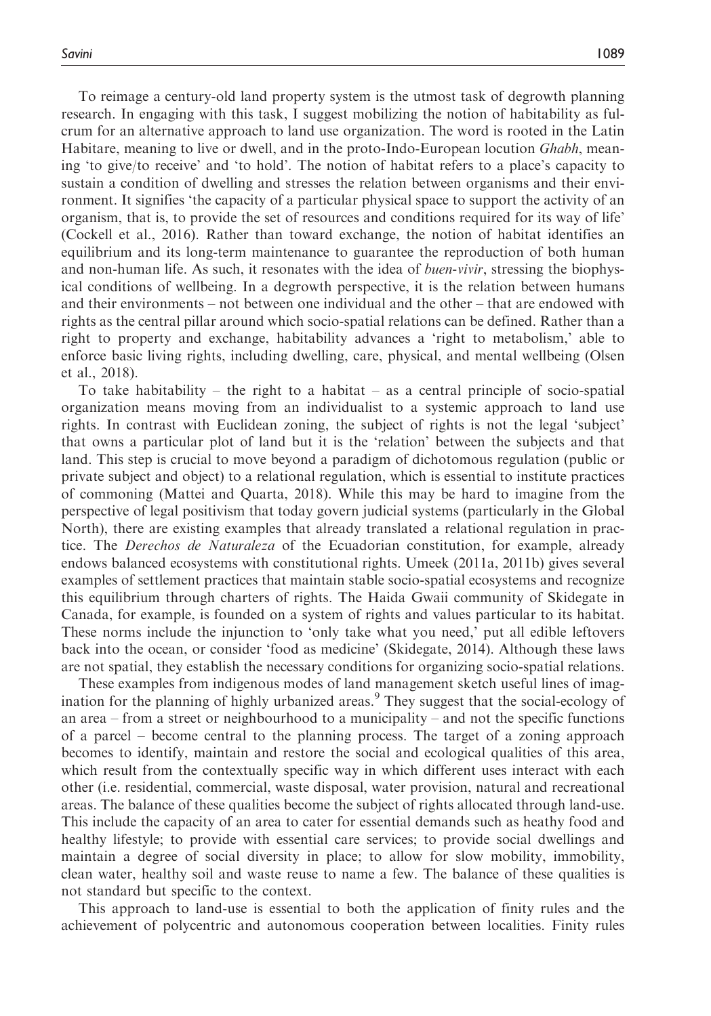To reimage a century-old land property system is the utmost task of degrowth planning research. In engaging with this task, I suggest mobilizing the notion of habitability as fulcrum for an alternative approach to land use organization. The word is rooted in the Latin Habitare, meaning to live or dwell, and in the proto-Indo-European locution *Ghabh*, meaning 'to give/to receive' and 'to hold'. The notion of habitat refers to a place's capacity to sustain a condition of dwelling and stresses the relation between organisms and their environment. It signifies 'the capacity of a particular physical space to support the activity of an organism, that is, to provide the set of resources and conditions required for its way of life' (Cockell et al., 2016). Rather than toward exchange, the notion of habitat identifies an equilibrium and its long-term maintenance to guarantee the reproduction of both human and non-human life. As such, it resonates with the idea of *buen-vivir*, stressing the biophysical conditions of wellbeing. In a degrowth perspective, it is the relation between humans and their environments – not between one individual and the other – that are endowed with rights as the central pillar around which socio-spatial relations can be defined. Rather than a right to property and exchange, habitability advances a 'right to metabolism,' able to enforce basic living rights, including dwelling, care, physical, and mental wellbeing (Olsen et al., 2018).

To take habitability – the right to a habitat – as a central principle of socio-spatial organization means moving from an individualist to a systemic approach to land use rights. In contrast with Euclidean zoning, the subject of rights is not the legal 'subject' that owns a particular plot of land but it is the 'relation' between the subjects and that land. This step is crucial to move beyond a paradigm of dichotomous regulation (public or private subject and object) to a relational regulation, which is essential to institute practices of commoning (Mattei and Quarta, 2018). While this may be hard to imagine from the perspective of legal positivism that today govern judicial systems (particularly in the Global North), there are existing examples that already translated a relational regulation in practice. The *Derechos de Naturaleza* of the Ecuadorian constitution, for example, already endows balanced ecosystems with constitutional rights. Umeek (2011a, 2011b) gives several examples of settlement practices that maintain stable socio-spatial ecosystems and recognize this equilibrium through charters of rights. The Haida Gwaii community of Skidegate in Canada, for example, is founded on a system of rights and values particular to its habitat. These norms include the injunction to 'only take what you need,' put all edible leftovers back into the ocean, or consider 'food as medicine' (Skidegate, 2014). Although these laws are not spatial, they establish the necessary conditions for organizing socio-spatial relations.

These examples from indigenous modes of land management sketch useful lines of imagination for the planning of highly urbanized areas.<sup>9</sup> They suggest that the social-ecology of an area – from a street or neighbourhood to a municipality – and not the specific functions of a parcel – become central to the planning process. The target of a zoning approach becomes to identify, maintain and restore the social and ecological qualities of this area, which result from the contextually specific way in which different uses interact with each other (i.e. residential, commercial, waste disposal, water provision, natural and recreational areas. The balance of these qualities become the subject of rights allocated through land-use. This include the capacity of an area to cater for essential demands such as heathy food and healthy lifestyle; to provide with essential care services; to provide social dwellings and maintain a degree of social diversity in place; to allow for slow mobility, immobility, clean water, healthy soil and waste reuse to name a few. The balance of these qualities is not standard but specific to the context.

This approach to land-use is essential to both the application of finity rules and the achievement of polycentric and autonomous cooperation between localities. Finity rules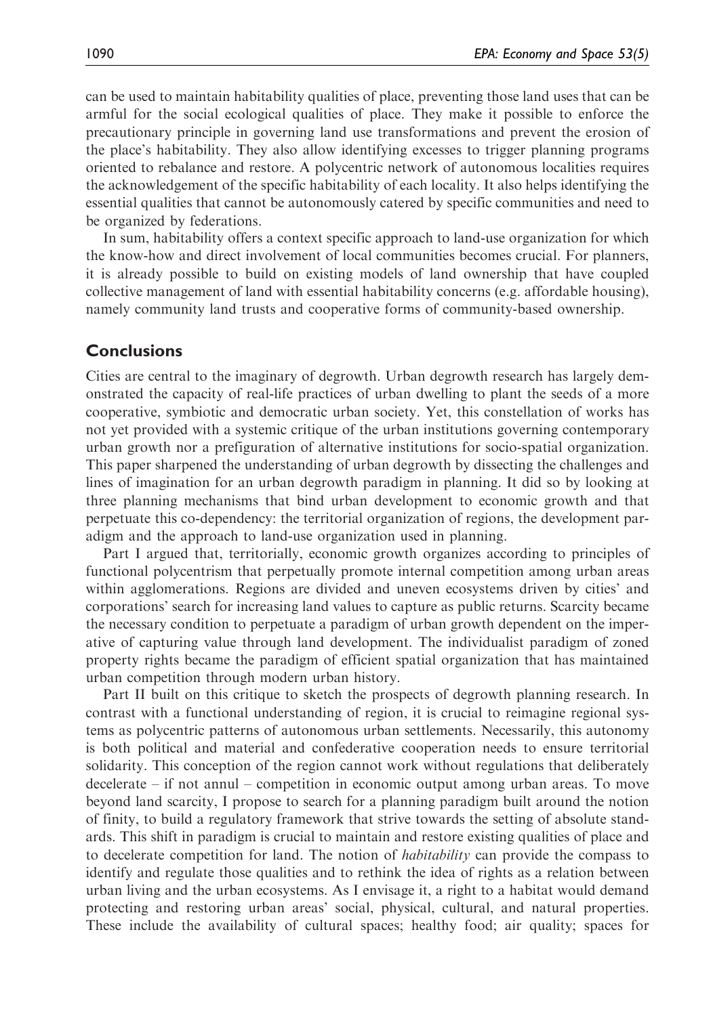can be used to maintain habitability qualities of place, preventing those land uses that can be armful for the social ecological qualities of place. They make it possible to enforce the precautionary principle in governing land use transformations and prevent the erosion of the place's habitability. They also allow identifying excesses to trigger planning programs oriented to rebalance and restore. A polycentric network of autonomous localities requires the acknowledgement of the specific habitability of each locality. It also helps identifying the essential qualities that cannot be autonomously catered by specific communities and need to be organized by federations.

In sum, habitability offers a context specific approach to land-use organization for which the know-how and direct involvement of local communities becomes crucial. For planners, it is already possible to build on existing models of land ownership that have coupled collective management of land with essential habitability concerns (e.g. affordable housing), namely community land trusts and cooperative forms of community-based ownership.

# **Conclusions**

Cities are central to the imaginary of degrowth. Urban degrowth research has largely demonstrated the capacity of real-life practices of urban dwelling to plant the seeds of a more cooperative, symbiotic and democratic urban society. Yet, this constellation of works has not yet provided with a systemic critique of the urban institutions governing contemporary urban growth nor a prefiguration of alternative institutions for socio-spatial organization. This paper sharpened the understanding of urban degrowth by dissecting the challenges and lines of imagination for an urban degrowth paradigm in planning. It did so by looking at three planning mechanisms that bind urban development to economic growth and that perpetuate this co-dependency: the territorial organization of regions, the development paradigm and the approach to land-use organization used in planning.

Part I argued that, territorially, economic growth organizes according to principles of functional polycentrism that perpetually promote internal competition among urban areas within agglomerations. Regions are divided and uneven ecosystems driven by cities' and corporations' search for increasing land values to capture as public returns. Scarcity became the necessary condition to perpetuate a paradigm of urban growth dependent on the imperative of capturing value through land development. The individualist paradigm of zoned property rights became the paradigm of efficient spatial organization that has maintained urban competition through modern urban history.

Part II built on this critique to sketch the prospects of degrowth planning research. In contrast with a functional understanding of region, it is crucial to reimagine regional systems as polycentric patterns of autonomous urban settlements. Necessarily, this autonomy is both political and material and confederative cooperation needs to ensure territorial solidarity. This conception of the region cannot work without regulations that deliberately decelerate – if not annul – competition in economic output among urban areas. To move beyond land scarcity, I propose to search for a planning paradigm built around the notion of finity, to build a regulatory framework that strive towards the setting of absolute standards. This shift in paradigm is crucial to maintain and restore existing qualities of place and to decelerate competition for land. The notion of *habitability* can provide the compass to identify and regulate those qualities and to rethink the idea of rights as a relation between urban living and the urban ecosystems. As I envisage it, a right to a habitat would demand protecting and restoring urban areas' social, physical, cultural, and natural properties. These include the availability of cultural spaces; healthy food; air quality; spaces for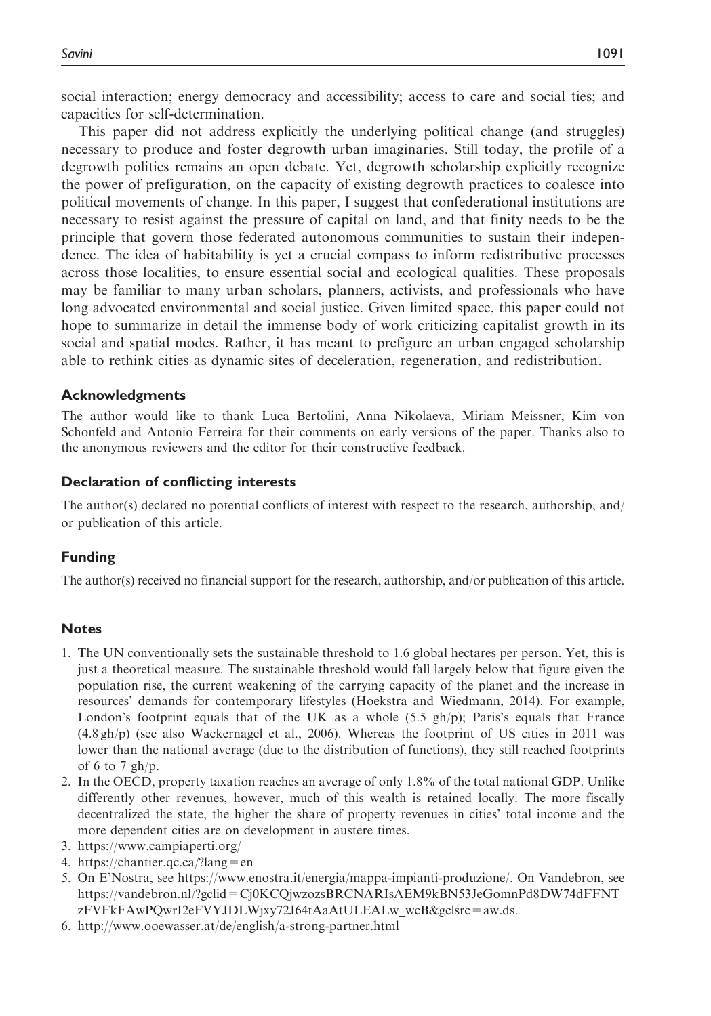social interaction; energy democracy and accessibility; access to care and social ties; and capacities for self-determination.

This paper did not address explicitly the underlying political change (and struggles) necessary to produce and foster degrowth urban imaginaries. Still today, the profile of a degrowth politics remains an open debate. Yet, degrowth scholarship explicitly recognize the power of prefiguration, on the capacity of existing degrowth practices to coalesce into political movements of change. In this paper, I suggest that confederational institutions are necessary to resist against the pressure of capital on land, and that finity needs to be the principle that govern those federated autonomous communities to sustain their independence. The idea of habitability is yet a crucial compass to inform redistributive processes across those localities, to ensure essential social and ecological qualities. These proposals may be familiar to many urban scholars, planners, activists, and professionals who have long advocated environmental and social justice. Given limited space, this paper could not hope to summarize in detail the immense body of work criticizing capitalist growth in its social and spatial modes. Rather, it has meant to prefigure an urban engaged scholarship able to rethink cities as dynamic sites of deceleration, regeneration, and redistribution.

#### Acknowledgments

The author would like to thank Luca Bertolini, Anna Nikolaeva, Miriam Meissner, Kim von Schonfeld and Antonio Ferreira for their comments on early versions of the paper. Thanks also to the anonymous reviewers and the editor for their constructive feedback.

#### Declaration of conflicting interests

The author(s) declared no potential conflicts of interest with respect to the research, authorship, and/ or publication of this article.

#### Funding

The author(s) received no financial support for the research, authorship, and/or publication of this article.

#### **Notes**

- 1. The UN conventionally sets the sustainable threshold to 1.6 global hectares per person. Yet, this is just a theoretical measure. The sustainable threshold would fall largely below that figure given the population rise, the current weakening of the carrying capacity of the planet and the increase in resources' demands for contemporary lifestyles (Hoekstra and Wiedmann, 2014). For example, London's footprint equals that of the UK as a whole  $(5.5 \text{ gh/p})$ ; Paris's equals that France (4.8 gh/p) (see also Wackernagel et al., 2006). Whereas the footprint of US cities in 2011 was lower than the national average (due to the distribution of functions), they still reached footprints of 6 to 7  $gh/p$ .
- 2. In the OECD, property taxation reaches an average of only 1.8% of the total national GDP. Unlike differently other revenues, however, much of this wealth is retained locally. The more fiscally decentralized the state, the higher the share of property revenues in cities' total income and the more dependent cities are on development in austere times.
- 3.<https://www.campiaperti.org/>
- 4.<https://chantier.qc.ca/?lang=en>
- 5. On E'Nostra, see [https://www.enostra.it/energia/mappa-impianti-produzione/.](https://www.enostra.it/energia/mappa-impianti-produzione/) On Vandebron, see [https://vandebron.nl/?gclid=Cj0KCQjwzozsBRCNARIsAEM9kBN53JeGomnPd8DW74dFFNT](https://vandebron.nl/?gclid=Cj0KCQjwzozsBRCNARIsAEM9kBN53JeGomnPd8DW74dFFNTzFVFkFAwPQwrI2eFVYJDLWjxy72J64tAaAtULEALw_wcB&gclsrc=aw.ds) [zFVFkFAwPQwrI2eFVYJDLWjxy72J64tAaAtULEALw\\_wcB&gclsrc=aw.ds](https://vandebron.nl/?gclid=Cj0KCQjwzozsBRCNARIsAEM9kBN53JeGomnPd8DW74dFFNTzFVFkFAwPQwrI2eFVYJDLWjxy72J64tAaAtULEALw_wcB&gclsrc=aw.ds).
- 6.<http://www.ooewasser.at/de/english/a-strong-partner.html>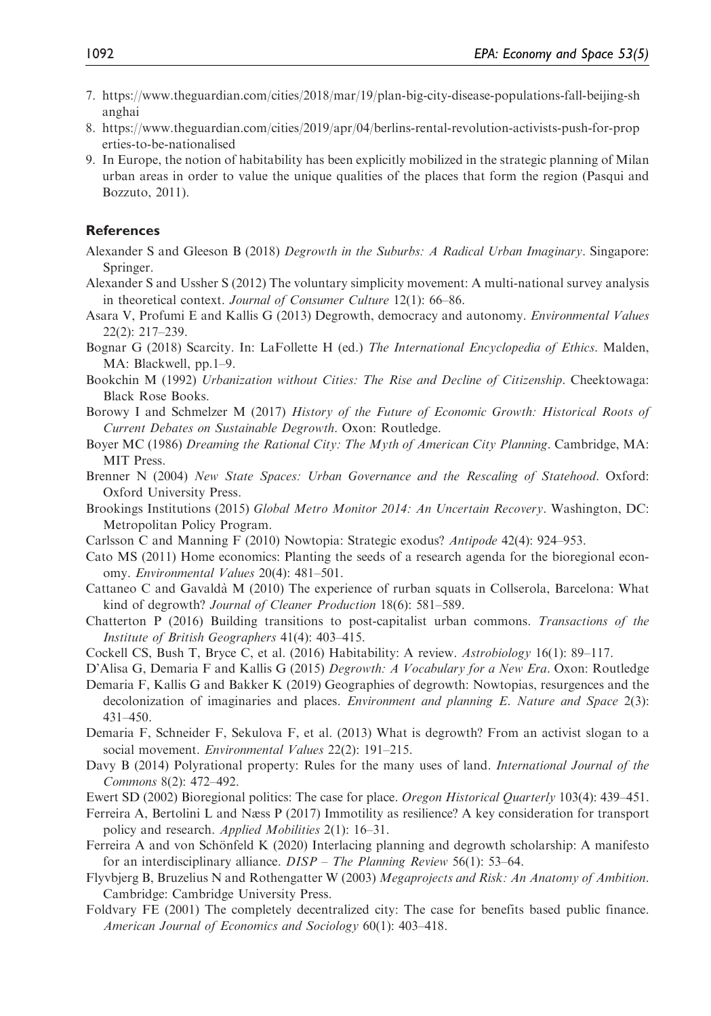- 7. [https://www.theguardian.com/cities/2018/mar/19/plan-big-city-disease-populations-fall-beijing-sh](https://www.theguardian.com/cities/2018/mar/19/plan-big-city-disease-populations-fall-beijing-shanghai) [anghai](https://www.theguardian.com/cities/2018/mar/19/plan-big-city-disease-populations-fall-beijing-shanghai)
- 8. [https://www.theguardian.com/cities/2019/apr/04/berlins-rental-revolution-activists-push-for-prop](https://www.theguardian.com/cities/2019/apr/04/berlins-rental-revolution-activists-push-for-properties-to-be-nationalised) [erties-to-be-nationalised](https://www.theguardian.com/cities/2019/apr/04/berlins-rental-revolution-activists-push-for-properties-to-be-nationalised)
- 9. In Europe, the notion of habitability has been explicitly mobilized in the strategic planning of Milan urban areas in order to value the unique qualities of the places that form the region (Pasqui and Bozzuto, 2011).

#### **References**

- Alexander S and Gleeson B (2018) Degrowth in the Suburbs: A Radical Urban Imaginary. Singapore: Springer.
- Alexander S and Ussher S (2012) The voluntary simplicity movement: A multi-national survey analysis in theoretical context. Journal of Consumer Culture 12(1): 66–86.
- Asara V, Profumi E and Kallis G (2013) Degrowth, democracy and autonomy. Environmental Values 22(2): 217–239.
- Bognar G (2018) Scarcity. In: LaFollette H (ed.) The International Encyclopedia of Ethics. Malden, MA: Blackwell, pp.1–9.
- Bookchin M (1992) Urbanization without Cities: The Rise and Decline of Citizenship. Cheektowaga: Black Rose Books.
- Borowy I and Schmelzer M (2017) History of the Future of Economic Growth: Historical Roots of Current Debates on Sustainable Degrowth. Oxon: Routledge.
- Boyer MC (1986) Dreaming the Rational City: The Myth of American City Planning. Cambridge, MA: MIT Press.
- Brenner N (2004) New State Spaces: Urban Governance and the Rescaling of Statehood. Oxford: Oxford University Press.
- Brookings Institutions (2015) Global Metro Monitor 2014: An Uncertain Recovery. Washington, DC: Metropolitan Policy Program.
- Carlsson C and Manning F (2010) Nowtopia: Strategic exodus? Antipode 42(4): 924–953.
- Cato MS (2011) Home economics: Planting the seeds of a research agenda for the bioregional economy. Environmental Values 20(4): 481–501.
- Cattaneo C and Gavalda` M (2010) The experience of rurban squats in Collserola, Barcelona: What kind of degrowth? Journal of Cleaner Production 18(6): 581–589.
- Chatterton P (2016) Building transitions to post-capitalist urban commons. Transactions of the Institute of British Geographers 41(4): 403–415.
- Cockell CS, Bush T, Bryce C, et al. (2016) Habitability: A review. Astrobiology 16(1): 89–117.
- D'Alisa G, Demaria F and Kallis G (2015) Degrowth: A Vocabulary for a New Era. Oxon: Routledge
- Demaria F, Kallis G and Bakker K (2019) Geographies of degrowth: Nowtopias, resurgences and the decolonization of imaginaries and places. *Environment and planning E. Nature and Space* 2(3): 431–450.
- Demaria F, Schneider F, Sekulova F, et al. (2013) What is degrowth? From an activist slogan to a social movement. Environmental Values 22(2): 191-215.
- Davy B (2014) Polyrational property: Rules for the many uses of land. International Journal of the Commons 8(2): 472–492.
- Ewert SD (2002) Bioregional politics: The case for place. Oregon Historical Quarterly 103(4): 439–451.
- Ferreira A, Bertolini L and Næss P (2017) Immotility as resilience? A key consideration for transport policy and research. *Applied Mobilities* 2(1): 16–31.
- Ferreira A and von Schönfeld K (2020) Interlacing planning and degrowth scholarship: A manifesto for an interdisciplinary alliance. DISP – The Planning Review 56(1): 53–64.
- Flyvbjerg B, Bruzelius N and Rothengatter W (2003) Megaprojects and Risk: An Anatomy of Ambition. Cambridge: Cambridge University Press.
- Foldvary FE (2001) The completely decentralized city: The case for benefits based public finance. American Journal of Economics and Sociology 60(1): 403–418.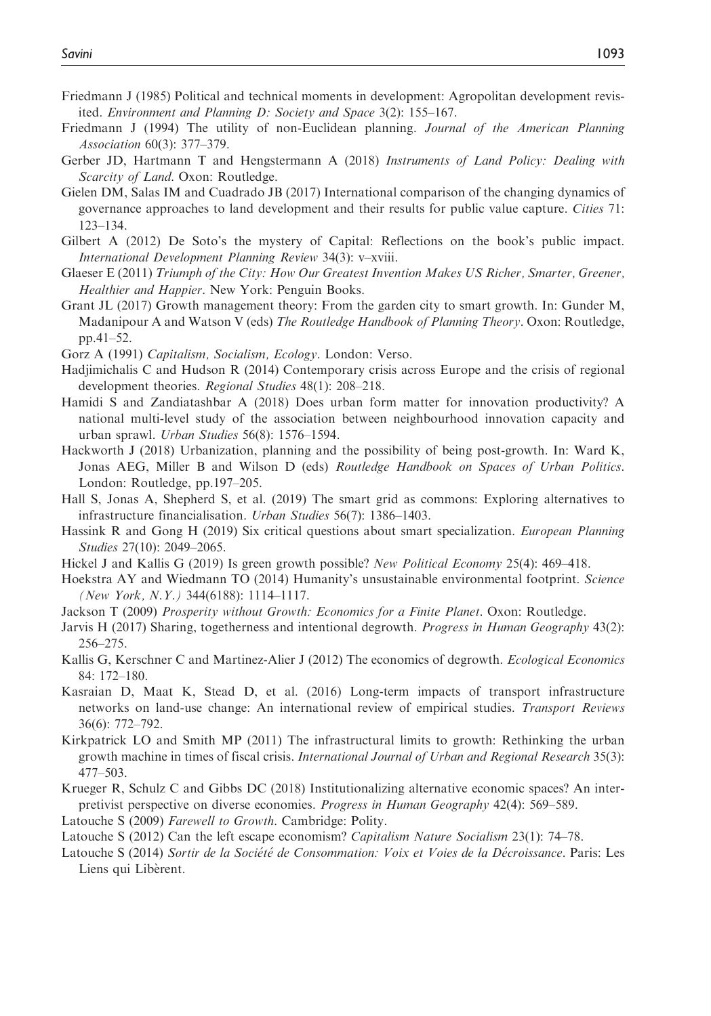- Friedmann J (1985) Political and technical moments in development: Agropolitan development revisited. Environment and Planning D: Society and Space 3(2): 155–167.
- Friedmann J (1994) The utility of non-Euclidean planning. Journal of the American Planning Association 60(3): 377–379.
- Gerber JD, Hartmann T and Hengstermann A (2018) Instruments of Land Policy: Dealing with Scarcity of Land. Oxon: Routledge.
- Gielen DM, Salas IM and Cuadrado JB (2017) International comparison of the changing dynamics of governance approaches to land development and their results for public value capture. Cities 71: 123–134.
- Gilbert A (2012) De Soto's the mystery of Capital: Reflections on the book's public impact. International Development Planning Review 34(3): v–xviii.
- Glaeser E (2011) Triumph of the City: How Our Greatest Invention Makes US Richer, Smarter, Greener, Healthier and Happier. New York: Penguin Books.
- Grant JL (2017) Growth management theory: From the garden city to smart growth. In: Gunder M, Madanipour A and Watson V (eds) The Routledge Handbook of Planning Theory. Oxon: Routledge, pp.41–52.
- Gorz A (1991) Capitalism, Socialism, Ecology. London: Verso.
- Hadjimichalis C and Hudson R (2014) Contemporary crisis across Europe and the crisis of regional development theories. Regional Studies 48(1): 208–218.
- Hamidi S and Zandiatashbar A (2018) Does urban form matter for innovation productivity? A national multi-level study of the association between neighbourhood innovation capacity and urban sprawl. Urban Studies 56(8): 1576–1594.
- Hackworth J (2018) Urbanization, planning and the possibility of being post-growth. In: Ward K, Jonas AEG, Miller B and Wilson D (eds) Routledge Handbook on Spaces of Urban Politics. London: Routledge, pp.197–205.
- Hall S, Jonas A, Shepherd S, et al. (2019) The smart grid as commons: Exploring alternatives to infrastructure financialisation. Urban Studies 56(7): 1386–1403.
- Hassink R and Gong H (2019) Six critical questions about smart specialization. *European Planning* Studies 27(10): 2049–2065.
- Hickel J and Kallis G (2019) Is green growth possible? New Political Economy 25(4): 469–418.
- Hoekstra AY and Wiedmann TO (2014) Humanity's unsustainable environmental footprint. Science (New York, N.Y.) 344(6188): 1114–1117.
- Jackson T (2009) Prosperity without Growth: Economics for a Finite Planet. Oxon: Routledge.
- Jarvis H (2017) Sharing, togetherness and intentional degrowth. Progress in Human Geography 43(2): 256–275.
- Kallis G, Kerschner C and Martinez-Alier J (2012) The economics of degrowth. *Ecological Economics* 84: 172–180.
- Kasraian D, Maat K, Stead D, et al. (2016) Long-term impacts of transport infrastructure networks on land-use change: An international review of empirical studies. Transport Reviews 36(6): 772–792.
- Kirkpatrick LO and Smith MP (2011) The infrastructural limits to growth: Rethinking the urban growth machine in times of fiscal crisis. International Journal of Urban and Regional Research 35(3): 477–503.
- Krueger R, Schulz C and Gibbs DC (2018) Institutionalizing alternative economic spaces? An interpretivist perspective on diverse economies. Progress in Human Geography 42(4): 569–589.
- Latouche S (2009) Farewell to Growth. Cambridge: Polity.
- Latouche S (2012) Can the left escape economism? Capitalism Nature Socialism 23(1): 74–78.
- Latouche S (2014) Sortir de la Société de Consommation: Voix et Voies de la Décroissance. Paris: Les Liens qui Liberent.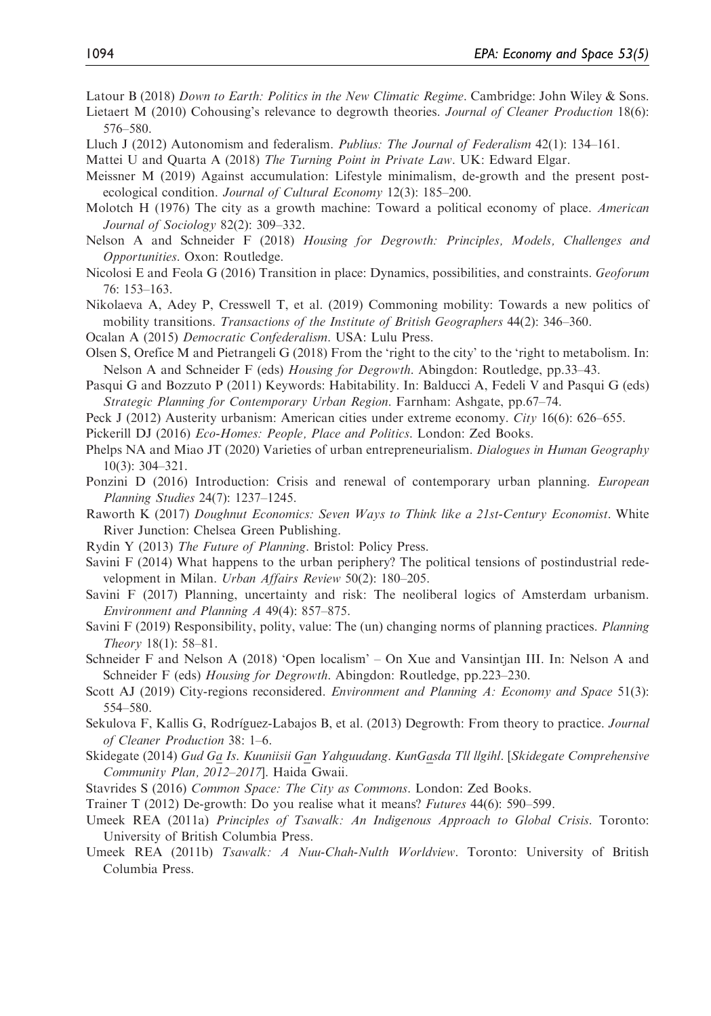Latour B (2018) Down to Earth: Politics in the New Climatic Regime. Cambridge: John Wiley & Sons.

- Lietaert M (2010) Cohousing's relevance to degrowth theories. Journal of Cleaner Production 18(6): 576–580.
- Lluch J (2012) Autonomism and federalism. Publius: The Journal of Federalism 42(1): 134–161.
- Mattei U and Quarta A (2018) The Turning Point in Private Law. UK: Edward Elgar.
- Meissner M (2019) Against accumulation: Lifestyle minimalism, de-growth and the present postecological condition. Journal of Cultural Economy 12(3): 185–200.
- Molotch H (1976) The city as a growth machine: Toward a political economy of place. American Journal of Sociology 82(2): 309–332.
- Nelson A and Schneider F (2018) Housing for Degrowth: Principles, Models, Challenges and Opportunities. Oxon: Routledge.
- Nicolosi E and Feola G (2016) Transition in place: Dynamics, possibilities, and constraints. Geoforum 76: 153–163.

Nikolaeva A, Adey P, Cresswell T, et al. (2019) Commoning mobility: Towards a new politics of mobility transitions. Transactions of the Institute of British Geographers 44(2): 346–360.

- Ocalan A (2015) Democratic Confederalism. USA: Lulu Press.
- Olsen S, Orefice M and Pietrangeli G (2018) From the 'right to the city' to the 'right to metabolism. In: Nelson A and Schneider F (eds) Housing for Degrowth. Abingdon: Routledge, pp.33-43.
- Pasqui G and Bozzuto P (2011) Keywords: Habitability. In: Balducci A, Fedeli V and Pasqui G (eds) Strategic Planning for Contemporary Urban Region. Farnham: Ashgate, pp.67–74.
- Peck J (2012) Austerity urbanism: American cities under extreme economy. City 16(6): 626–655.
- Pickerill DJ (2016) Eco-Homes: People, Place and Politics. London: Zed Books.
- Phelps NA and Miao JT (2020) Varieties of urban entrepreneurialism. Dialogues in Human Geography 10(3): 304–321.
- Ponzini D (2016) Introduction: Crisis and renewal of contemporary urban planning. *European* Planning Studies 24(7): 1237–1245.
- Raworth K (2017) Doughnut Economics: Seven Ways to Think like a 21st-Century Economist. White River Junction: Chelsea Green Publishing.
- Rydin Y (2013) The Future of Planning. Bristol: Policy Press.
- Savini F (2014) What happens to the urban periphery? The political tensions of postindustrial redevelopment in Milan. Urban Affairs Review 50(2): 180–205.
- Savini F (2017) Planning, uncertainty and risk: The neoliberal logics of Amsterdam urbanism. Environment and Planning A 49(4): 857–875.
- Savini F (2019) Responsibility, polity, value: The (un) changing norms of planning practices. Planning Theory 18(1): 58–81.
- Schneider F and Nelson A (2018) 'Open localism' On Xue and Vansintjan III. In: Nelson A and Schneider F (eds) Housing for Degrowth. Abingdon: Routledge, pp.223–230.
- Scott AJ (2019) City-regions reconsidered. *Environment and Planning A: Economy and Space* 51(3): 554–580.
- Sekulova F, Kallis G, Rodríguez-Labajos B, et al. (2013) Degrowth: From theory to practice. *Journal* of Cleaner Production 38: 1–6.
- Skidegate (2014) Gud Ga Is. Kuuniisii Gan Yahguudang. KunGasda Tll llgihl. [Skidegate Comprehensive Community Plan, 2012–2017]. Haida Gwaii.
- Stavrides S (2016) Common Space: The City as Commons. London: Zed Books.
- Trainer T (2012) De-growth: Do you realise what it means? Futures 44(6): 590–599.
- Umeek REA (2011a) Principles of Tsawalk: An Indigenous Approach to Global Crisis. Toronto: University of British Columbia Press.
- Umeek REA (2011b) Tsawalk: A Nuu-Chah-Nulth Worldview. Toronto: University of British Columbia Press.